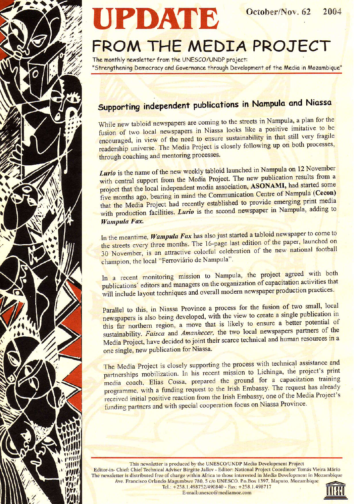

# UPDATE

## FROM THE MEDIA PROJECT

The monthly newsletter from the UNESCO/UNDP project: "Strengthening Democracy and Governance through Development of the Media in Mozambique"

### Supporting independent publications in Nampula and Niassa

While new tabloid newspapers are coming to the streets in Nampula, a plan for the fusion of two local newspapers in Niassa looks like a positive imitative to be encouraged, in view of the need to ensure sustainability in that still very fragile readership universe. The Media Project is closely following up on both processes, through coaching and mentoring processes.

Lurio is the name of the new weekly tabloid launched in Nampula on 12 November with central support from the Media Project. The new publication results from a project that the local independent media association, ASONAMI, had started some five months ago, bearing in mind the Communication Centre of Nampula (Cecon) that the Media Project had recently established to provide emerging print media with production facilities. Lurio is the second newspaper in Nampula, adding to Wampula Fax.

In the meantime, Wampula Fax has also just started a tabloid newspaper to come to the streets every three months. The 16-page last edition of the paper, launched on 30 November, is an attractive colorful celebration of the new national football champion, the local "Ferroviário de Nampula".

In a recent monitoring mission to Nampula, the project agreed with both publications' editors and managers on the organization of capacitation activities that will include layout techniques and overall modern newspaper production practices.

Parallel to this, in Niassa Province a process for the fusion of two small, local newspapers is also being developed, with the view to create a single publication in this far northern region, a move that is likely to ensure a better potential of sustainability. Faisca and Amanhecer, the two local newspapers partners of the Media Project, have decided to joint their scarce technical and human resources in a one single, new publication for Niassa.

The Media Project is closely supporting the process with technical assistance and partnerships mobilization. In his recent mission to Lichinga, the project's print media coach, Elias Cossa, prepared the ground for a capacitation training programme, with a funding request to the Irish Embassy. The request has already received initial positive reaction from the Irish Embassy, one of the Media Project's funding partners and with special cooperation focus on Niassa Province.

This newsletter is produced by the UNESCO/UNDP Media Development Project Editor-in- Chief: Chief Technical Adviser Birgitte Jallov - Editor: National Project Coordintor Tomás Vieira Mário The newsletter is distributed free of charge within Africa to those interested in Media Development in Mozambique Ave. Francisco Orlando Magumbwe 780, 5 c/o UNESCO. P.o.Box 1397, Maputo, Mozambique Tel.: +258.1.498752/490840 - Fax: +258.1.498717

E-mail:unesco@mediamoz.com